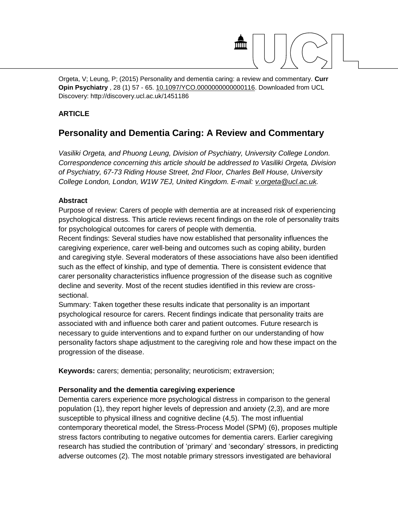

Orgeta, V; Leung, P; (2015) Personality and dementia caring: a review and commentary. **Curr Opin Psychiatry** , 28 (1) 57 - 65. [10.1097/YCO.0000000000000116.](http://dx.doi.org/10.1097/YCO.0000000000000116) Downloaded from UCL Discovery: http://discovery.ucl.ac.uk/1451186

# **ARTICLE**

# **Personality and Dementia Caring: A Review and Commentary**

*Vasiliki Orgeta, and Phuong Leung, Division of Psychiatry, University College London. Correspondence concerning this article should be addressed to Vasiliki Orgeta, Division of Psychiatry, 67-73 Riding House Street, 2nd Floor, Charles Bell House, University College London, London, W1W 7EJ, United Kingdom. E-mail: [v.orgeta@ucl.ac.uk.](mailto:v.orgeta@ucl.ac.uk)*

### **Abstract**

Purpose of review: Carers of people with dementia are at increased risk of experiencing psychological distress. This article reviews recent findings on the role of personality traits for psychological outcomes for carers of people with dementia.

Recent findings: Several studies have now established that personality influences the caregiving experience, carer well-being and outcomes such as coping ability, burden and caregiving style. Several moderators of these associations have also been identified such as the effect of kinship, and type of dementia. There is consistent evidence that carer personality characteristics influence progression of the disease such as cognitive decline and severity. Most of the recent studies identified in this review are crosssectional.

Summary: Taken together these results indicate that personality is an important psychological resource for carers. Recent findings indicate that personality traits are associated with and influence both carer and patient outcomes. Future research is necessary to guide interventions and to expand further on our understanding of how personality factors shape adjustment to the caregiving role and how these impact on the progression of the disease.

**Keywords:** carers; dementia; personality; neuroticism; extraversion;

### **Personality and the dementia caregiving experience**

Dementia carers experience more psychological distress in comparison to the general population (1), they report higher levels of depression and anxiety (2,3), and are more susceptible to physical illness and cognitive decline (4,5). The most influential contemporary theoretical model, the Stress-Process Model (SPM) (6), proposes multiple stress factors contributing to negative outcomes for dementia carers. Earlier caregiving research has studied the contribution of 'primary' and 'secondary' stressors, in predicting adverse outcomes (2). The most notable primary stressors investigated are behavioral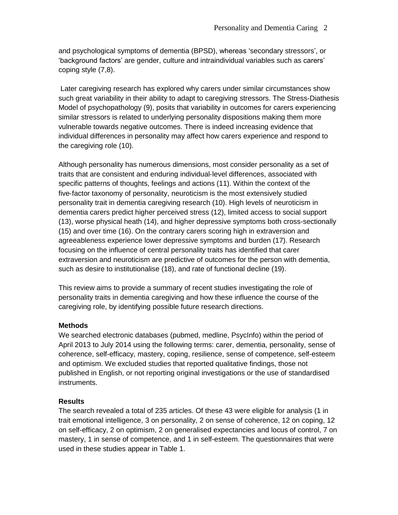and psychological symptoms of dementia (BPSD), whereas 'secondary stressors', or 'background factors' are gender, culture and intraindividual variables such as carers' coping style (7,8).

Later caregiving research has explored why carers under similar circumstances show such great variability in their ability to adapt to caregiving stressors. The Stress-Diathesis Model of psychopathology (9), posits that variability in outcomes for carers experiencing similar stressors is related to underlying personality dispositions making them more vulnerable towards negative outcomes. There is indeed increasing evidence that individual differences in personality may affect how carers experience and respond to the caregiving role (10).

Although personality has numerous dimensions, most consider personality as a set of traits that are consistent and enduring individual‐level differences, associated with specific patterns of thoughts, feelings and actions (11). Within the context of the five‐factor taxonomy of personality, neuroticism is the most extensively studied personality trait in dementia caregiving research (10). High levels of neuroticism in dementia carers predict higher perceived stress (12), limited access to social support (13), worse physical heath (14), and higher depressive symptoms both cross-sectionally (15) and over time (16). On the contrary carers scoring high in extraversion and agreeableness experience lower depressive symptoms and burden (17). Research focusing on the influence of central personality traits has identified that carer extraversion and neuroticism are predictive of outcomes for the person with dementia, such as desire to institutionalise (18), and rate of functional decline (19).

This review aims to provide a summary of recent studies investigating the role of personality traits in dementia caregiving and how these influence the course of the caregiving role, by identifying possible future research directions.

# **Methods**

We searched electronic databases (pubmed, medline, PsycInfo) within the period of April 2013 to July 2014 using the following terms: carer, dementia, personality, sense of coherence, self-efficacy, mastery, coping, resilience, sense of competence, self-esteem and optimism. We excluded studies that reported qualitative findings, those not published in English, or not reporting original investigations or the use of standardised instruments.

# **Results**

The search revealed a total of 235 articles. Of these 43 were eligible for analysis (1 in trait emotional intelligence, 3 on personality, 2 on sense of coherence, 12 on coping, 12 on self-efficacy, 2 on optimism, 2 on generalised expectancies and locus of control, 7 on mastery, 1 in sense of competence, and 1 in self-esteem. The questionnaires that were used in these studies appear in Table 1.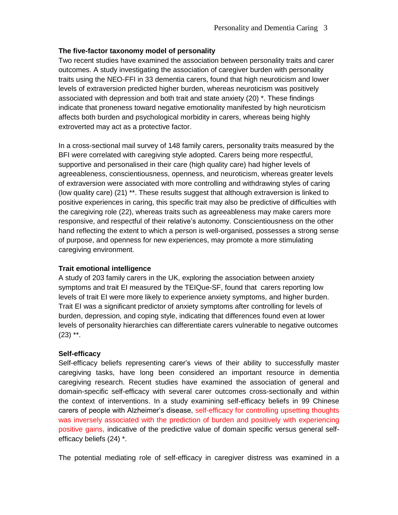### **The five-factor taxonomy model of personality**

Two recent studies have examined the association between personality traits and carer outcomes. A study investigating the association of caregiver burden with personality traits using the NEO-FFI in 33 dementia carers, found that high neuroticism and lower levels of extraversion predicted higher burden, whereas neuroticism was positively associated with depression and both trait and state anxiety (20) \*. These findings indicate that proneness toward negative emotionality manifested by high neuroticism affects both burden and psychological morbidity in carers, whereas being highly extroverted may act as a protective factor.

In a cross-sectional mail survey of 148 family carers, personality traits measured by the BFI were correlated with caregiving style adopted. Carers being more respectful, supportive and personalised in their care (high quality care) had higher levels of agreeableness, conscientiousness, openness, and neuroticism, whereas greater levels of extraversion were associated with more controlling and withdrawing styles of caring (low quality care) (21) \*\*. These results suggest that although extraversion is linked to positive experiences in caring, this specific trait may also be predictive of difficulties with the caregiving role (22), whereas traits such as agreeableness may make carers more responsive, and respectful of their relative's autonomy. Conscientiousness on the other hand reflecting the extent to which a person is well-organised, possesses a strong sense of purpose, and openness for new experiences, may promote a more stimulating caregiving environment.

### **Trait emotional intelligence**

A study of 203 family carers in the UK, exploring the association between anxiety symptoms and trait EI measured by the TEIQue-SF, found that carers reporting low levels of trait EI were more likely to experience anxiety symptoms, and higher burden. Trait EI was a significant predictor of anxiety symptoms after controlling for levels of burden, depression, and coping style, indicating that differences found even at lower levels of personality hierarchies can differentiate carers vulnerable to negative outcomes  $(23)$  \*\*.

# **Self-efficacy**

Self-efficacy beliefs representing carer's views of their ability to successfully master caregiving tasks, have long been considered an important resource in dementia caregiving research. Recent studies have examined the association of general and domain-specific self-efficacy with several carer outcomes cross-sectionally and within the context of interventions. In a study examining self-efficacy beliefs in 99 Chinese carers of people with Alzheimer's disease, self-efficacy for controlling upsetting thoughts was inversely associated with the prediction of burden and positively with experiencing positive gains, indicative of the predictive value of domain specific versus general selfefficacy beliefs (24) \*.

The potential mediating role of self-efficacy in caregiver distress was examined in a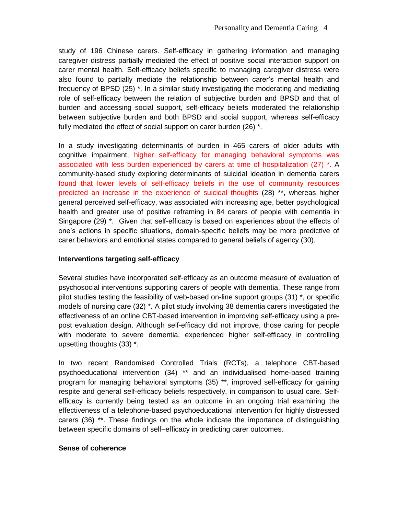study of 196 Chinese carers. Self-efficacy in gathering information and managing caregiver distress partially mediated the effect of positive social interaction support on carer mental health. Self-efficacy beliefs specific to managing caregiver distress were also found to partially mediate the relationship between carer's mental health and frequency of BPSD (25) \*. In a similar study investigating the moderating and mediating role of self-efficacy between the relation of subjective burden and BPSD and that of burden and accessing social support, self-efficacy beliefs moderated the relationship between subjective burden and both BPSD and social support, whereas self-efficacy fully mediated the effect of social support on carer burden (26) \*.

In a study investigating determinants of burden in 465 carers of older adults with cognitive impairment, higher self-efficacy for managing behavioral symptoms was associated with less burden experienced by carers at time of hospitalization (27) \*. A community-based study exploring determinants of suicidal ideation in dementia carers found that lower levels of self-efficacy beliefs in the use of community resources predicted an increase in the experience of suicidal thoughts (28) \*\*, whereas higher general perceived self-efficacy, was associated with increasing age, better psychological health and greater use of positive reframing in 84 carers of people with dementia in Singapore (29) \*. Given that self-efficacy is based on experiences about the effects of one's actions in specific situations, domain-specific beliefs may be more predictive of carer behaviors and emotional states compared to general beliefs of agency (30).

### **Interventions targeting self-efficacy**

Several studies have incorporated self-efficacy as an outcome measure of evaluation of psychosocial interventions supporting carers of people with dementia. These range from pilot studies testing the feasibility of web-based on-line support groups (31) \*, or specific models of nursing care (32) \*. A pilot study involving 38 dementia carers investigated the effectiveness of an online CBT-based intervention in improving self-efficacy using a prepost evaluation design. Although self-efficacy did not improve, those caring for people with moderate to severe dementia, experienced higher self-efficacy in controlling upsetting thoughts (33) \*.

In two recent Randomised Controlled Trials (RCTs), a telephone CBT-based psychoeducational intervention (34) \*\* and an individualised home-based training program for managing behavioral symptoms (35) \*\*, improved self-efficacy for gaining respite and general self-efficacy beliefs respectively, in comparison to usual care. Selfefficacy is currently being tested as an outcome in an ongoing trial examining the effectiveness of a telephone-based psychoeducational intervention for highly distressed carers (36) \*\*. These findings on the whole indicate the importance of distinguishing between specific domains of self–efficacy in predicting carer outcomes.

### **Sense of coherence**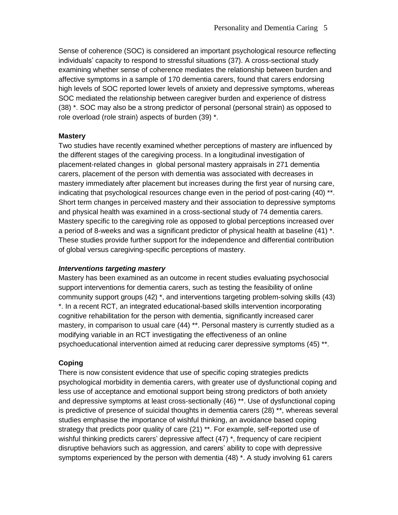Sense of coherence (SOC) is considered an important psychological resource reflecting individuals' capacity to respond to stressful situations (37). A cross-sectional study examining whether sense of coherence mediates the relationship between burden and affective symptoms in a sample of 170 dementia carers, found that carers endorsing high levels of SOC reported lower levels of anxiety and depressive symptoms, whereas SOC mediated the relationship between caregiver burden and experience of distress (38) \*. SOC may also be a strong predictor of personal (personal strain) as opposed to role overload (role strain) aspects of burden (39) \*.

### **Mastery**

Two studies have recently examined whether perceptions of mastery are influenced by the different stages of the caregiving process. In a longitudinal investigation of placement-related changes in global personal mastery appraisals in 271 dementia carers, placement of the person with dementia was associated with decreases in mastery immediately after placement but increases during the first year of nursing care, indicating that psychological resources change even in the period of post-caring (40) \*\*. Short term changes in perceived mastery and their association to depressive symptoms and physical health was examined in a cross-sectional study of 74 dementia carers. Mastery specific to the caregiving role as opposed to global perceptions increased over a period of 8-weeks and was a significant predictor of physical health at baseline (41) \*. These studies provide further support for the independence and differential contribution of global versus caregiving-specific perceptions of mastery.

### *Interventions targeting mastery*

Mastery has been examined as an outcome in recent studies evaluating psychosocial support interventions for dementia carers, such as testing the feasibility of online community support groups (42) \*, and interventions targeting problem-solving skills (43) \*. In a recent RCT, an integrated educational-based skills intervention incorporating cognitive rehabilitation for the person with dementia, significantly increased carer mastery, in comparison to usual care (44) \*\*. Personal mastery is currently studied as a modifying variable in an RCT investigating the effectiveness of an online psychoeducational intervention aimed at reducing carer depressive symptoms (45) \*\*.

# **Coping**

There is now consistent evidence that use of specific coping strategies predicts psychological morbidity in dementia carers, with greater use of dysfunctional coping and less use of acceptance and emotional support being strong predictors of both anxiety and depressive symptoms at least cross-sectionally (46) \*\*. Use of dysfunctional coping is predictive of presence of suicidal thoughts in dementia carers (28) \*\*, whereas several studies emphasise the importance of wishful thinking, an avoidance based coping strategy that predicts poor quality of care (21) \*\*. For example, self-reported use of wishful thinking predicts carers' depressive affect (47)<sup>\*</sup>, frequency of care recipient disruptive behaviors such as aggression, and carers' ability to cope with depressive symptoms experienced by the person with dementia (48) \*. A study involving 61 carers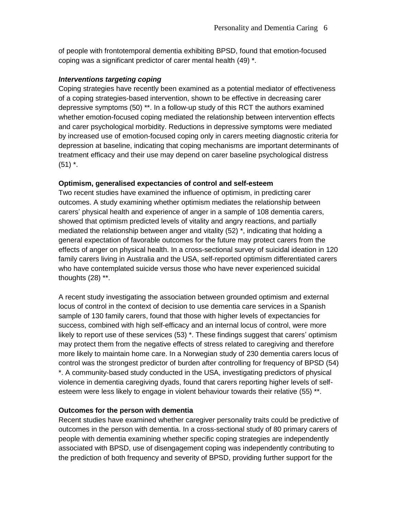of people with frontotemporal dementia exhibiting BPSD, found that emotion-focused coping was a significant predictor of carer mental health (49) \*.

### *Interventions targeting coping*

Coping strategies have recently been examined as a potential mediator of effectiveness of a coping strategies-based intervention, shown to be effective in decreasing carer depressive symptoms (50) \*\*. In a follow-up study of this RCT the authors examined whether emotion-focused coping mediated the relationship between intervention effects and carer psychological morbidity. Reductions in depressive symptoms were mediated by increased use of emotion-focused coping only in carers meeting diagnostic criteria for depression at baseline, indicating that coping mechanisms are important determinants of treatment efficacy and their use may depend on carer baseline psychological distress  $(51)$   $*$ .

#### **Optimism, generalised expectancies of control and self-esteem**

Two recent studies have examined the influence of optimism, in predicting carer outcomes. A study examining whether optimism mediates the relationship between carers' physical health and experience of anger in a sample of 108 dementia carers, showed that optimism predicted levels of vitality and angry reactions, and partially mediated the relationship between anger and vitality (52) \*, indicating that holding a general expectation of favorable outcomes for the future may protect carers from the effects of anger on physical health. In a cross-sectional survey of suicidal ideation in 120 family carers living in Australia and the USA, self-reported optimism differentiated carers who have contemplated suicide versus those who have never experienced suicidal thoughts (28) \*\*.

A recent study investigating the association between grounded optimism and external locus of control in the context of decision to use dementia care services in a Spanish sample of 130 family carers, found that those with higher levels of expectancies for success, combined with high self-efficacy and an internal locus of control, were more likely to report use of these services (53) \*. These findings suggest that carers' optimism may protect them from the negative effects of stress related to caregiving and therefore more likely to maintain home care. In a Norwegian study of 230 dementia carers locus of control was the strongest predictor of burden after controlling for frequency of BPSD (54) \*. A community-based study conducted in the USA, investigating predictors of physical violence in dementia caregiving dyads, found that carers reporting higher levels of selfesteem were less likely to engage in violent behaviour towards their relative (55) \*\*.

### **Outcomes for the person with dementia**

Recent studies have examined whether caregiver personality traits could be predictive of outcomes in the person with dementia. In a cross-sectional study of 80 primary carers of people with dementia examining whether specific coping strategies are independently associated with BPSD, use of disengagement coping was independently contributing to the prediction of both frequency and severity of BPSD, providing further support for the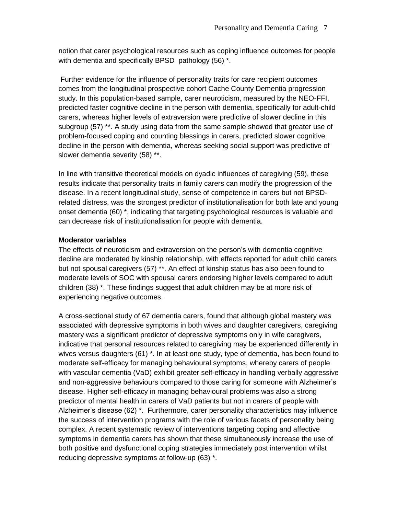notion that carer psychological resources such as coping influence outcomes for people with dementia and specifically BPSD pathology (56) \*.

Further evidence for the influence of personality traits for care recipient outcomes comes from the longitudinal prospective cohort Cache County Dementia progression study. In this population-based sample, carer neuroticism, measured by the NEO-FFI, predicted faster cognitive decline in the person with dementia, specifically for adult-child carers, whereas higher levels of extraversion were predictive of slower decline in this subgroup (57) \*\*. A study using data from the same sample showed that greater use of problem-focused coping and counting blessings in carers, predicted slower cognitive decline in the person with dementia, whereas seeking social support was predictive of slower dementia severity (58) \*\*.

In line with transitive theoretical models on dyadic influences of caregiving (59), these results indicate that personality traits in family carers can modify the progression of the disease. In a recent longitudinal study, sense of competence in carers but not BPSDrelated distress, was the strongest predictor of institutionalisation for both late and young onset dementia (60) \*, indicating that targeting psychological resources is valuable and can decrease risk of institutionalisation for people with dementia.

# **Moderator variables**

The effects of neuroticism and extraversion on the person's with dementia cognitive decline are moderated by kinship relationship, with effects reported for adult child carers but not spousal caregivers (57) \*\*. An effect of kinship status has also been found to moderate levels of SOC with spousal carers endorsing higher levels compared to adult children (38) \*. These findings suggest that adult children may be at more risk of experiencing negative outcomes.

A cross-sectional study of 67 dementia carers, found that although global mastery was associated with depressive symptoms in both wives and daughter caregivers, caregiving mastery was a significant predictor of depressive symptoms only in wife caregivers, indicative that personal resources related to caregiving may be experienced differently in wives versus daughters (61) \*. In at least one study, type of dementia, has been found to moderate self-efficacy for managing behavioural symptoms, whereby carers of people with vascular dementia (VaD) exhibit greater self-efficacy in handling verbally aggressive and non-aggressive behaviours compared to those caring for someone with Alzheimer's disease. Higher self-efficacy in managing behavioural problems was also a strong predictor of mental health in carers of VaD patients but not in carers of people with Alzheimer's disease (62) \*. Furthermore, carer personality characteristics may influence the success of intervention programs with the role of various facets of personality being complex. A recent systematic review of interventions targeting coping and affective symptoms in dementia carers has shown that these simultaneously increase the use of both positive and dysfunctional coping strategies immediately post intervention whilst reducing depressive symptoms at follow-up (63) \*.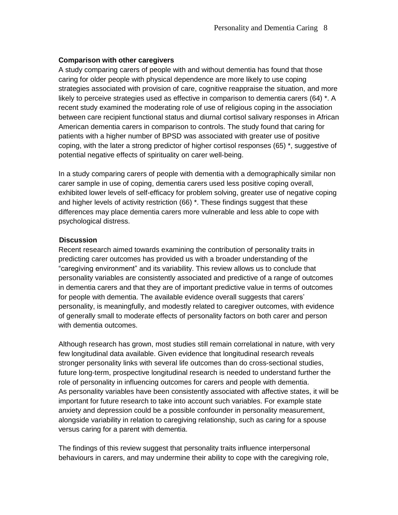### **Comparison with other caregivers**

A study comparing carers of people with and without dementia has found that those caring for older people with physical dependence are more likely to use coping strategies associated with provision of care, cognitive reappraise the situation, and more likely to perceive strategies used as effective in comparison to dementia carers (64) \*. A recent study examined the moderating role of use of religious coping in the association between care recipient functional status and diurnal cortisol salivary responses in African American dementia carers in comparison to controls. The study found that caring for patients with a higher number of BPSD was associated with greater use of positive coping, with the later a strong predictor of higher cortisol responses (65) \*, suggestive of potential negative effects of spirituality on carer well-being.

In a study comparing carers of people with dementia with a demographically similar non carer sample in use of coping, dementia carers used less positive coping overall, exhibited lower levels of self-efficacy for problem solving, greater use of negative coping and higher levels of activity restriction (66) \*. These findings suggest that these differences may place dementia carers more vulnerable and less able to cope with psychological distress.

### **Discussion**

Recent research aimed towards examining the contribution of personality traits in predicting carer outcomes has provided us with a broader understanding of the "caregiving environment" and its variability. This review allows us to conclude that personality variables are consistently associated and predictive of a range of outcomes in dementia carers and that they are of important predictive value in terms of outcomes for people with dementia. The available evidence overall suggests that carers' personality, is meaningfully, and modestly related to caregiver outcomes, with evidence of generally small to moderate effects of personality factors on both carer and person with dementia outcomes.

Although research has grown, most studies still remain correlational in nature, with very few longitudinal data available. Given evidence that longitudinal research reveals stronger personality links with several life outcomes than do cross-sectional studies, future long-term, prospective longitudinal research is needed to understand further the role of personality in influencing outcomes for carers and people with dementia. As personality variables have been consistently associated with affective states, it will be important for future research to take into account such variables. For example state anxiety and depression could be a possible confounder in personality measurement, alongside variability in relation to caregiving relationship, such as caring for a spouse versus caring for a parent with dementia.

The findings of this review suggest that personality traits influence interpersonal behaviours in carers, and may undermine their ability to cope with the caregiving role,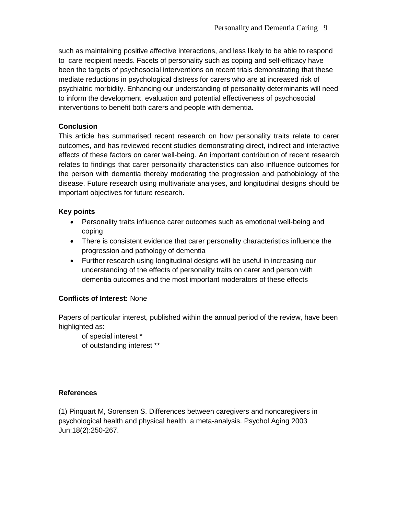such as maintaining positive affective interactions, and less likely to be able to respond to care recipient needs. Facets of personality such as coping and self-efficacy have been the targets of psychosocial interventions on recent trials demonstrating that these mediate reductions in psychological distress for carers who are at increased risk of psychiatric morbidity. Enhancing our understanding of personality determinants will need to inform the development, evaluation and potential effectiveness of psychosocial interventions to benefit both carers and people with dementia.

### **Conclusion**

This article has summarised recent research on how personality traits relate to carer outcomes, and has reviewed recent studies demonstrating direct, indirect and interactive effects of these factors on carer well-being. An important contribution of recent research relates to findings that carer personality characteristics can also influence outcomes for the person with dementia thereby moderating the progression and pathobiology of the disease. Future research using multivariate analyses, and longitudinal designs should be important objectives for future research.

### **Key points**

- Personality traits influence carer outcomes such as emotional well-being and coping
- There is consistent evidence that carer personality characteristics influence the progression and pathology of dementia
- Further research using longitudinal designs will be useful in increasing our understanding of the effects of personality traits on carer and person with dementia outcomes and the most important moderators of these effects

# **Conflicts of Interest:** None

Papers of particular interest, published within the annual period of the review, have been highlighted as:

of special interest \* of outstanding interest \*\*

### **References**

(1) Pinquart M, Sorensen S. Differences between caregivers and noncaregivers in psychological health and physical health: a meta-analysis. Psychol Aging 2003 Jun;18(2):250-267.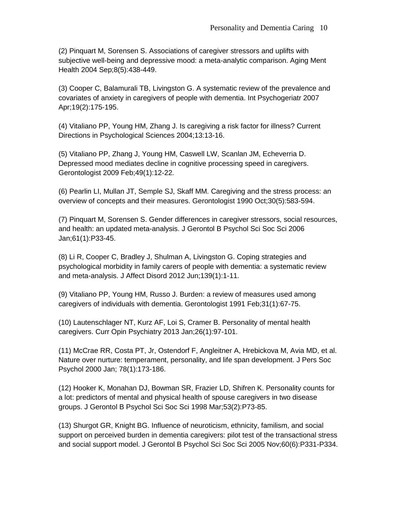(2) Pinquart M, Sorensen S. Associations of caregiver stressors and uplifts with subjective well-being and depressive mood: a meta-analytic comparison. Aging Ment Health 2004 Sep;8(5):438-449.

(3) Cooper C, Balamurali TB, Livingston G. A systematic review of the prevalence and covariates of anxiety in caregivers of people with dementia. Int Psychogeriatr 2007 Apr;19(2):175-195.

(4) Vitaliano PP, Young HM, Zhang J. Is caregiving a risk factor for illness? Current Directions in Psychological Sciences 2004;13:13-16.

(5) Vitaliano PP, Zhang J, Young HM, Caswell LW, Scanlan JM, Echeverria D. Depressed mood mediates decline in cognitive processing speed in caregivers. Gerontologist 2009 Feb;49(1):12-22.

(6) Pearlin LI, Mullan JT, Semple SJ, Skaff MM. Caregiving and the stress process: an overview of concepts and their measures. Gerontologist 1990 Oct;30(5):583-594.

(7) Pinquart M, Sorensen S. Gender differences in caregiver stressors, social resources, and health: an updated meta-analysis. J Gerontol B Psychol Sci Soc Sci 2006 Jan;61(1):P33-45.

(8) Li R, Cooper C, Bradley J, Shulman A, Livingston G. Coping strategies and psychological morbidity in family carers of people with dementia: a systematic review and meta-analysis. J Affect Disord 2012 Jun;139(1):1-11.

(9) Vitaliano PP, Young HM, Russo J. Burden: a review of measures used among caregivers of individuals with dementia. Gerontologist 1991 Feb;31(1):67-75.

(10) Lautenschlager NT, Kurz AF, Loi S, Cramer B. Personality of mental health caregivers. Curr Opin Psychiatry 2013 Jan;26(1):97-101.

(11) McCrae RR, Costa PT, Jr, Ostendorf F, Angleitner A, Hrebickova M, Avia MD, et al. Nature over nurture: temperament, personality, and life span development. J Pers Soc Psychol 2000 Jan; 78(1):173-186.

(12) Hooker K, Monahan DJ, Bowman SR, Frazier LD, Shifren K. Personality counts for a lot: predictors of mental and physical health of spouse caregivers in two disease groups. J Gerontol B Psychol Sci Soc Sci 1998 Mar;53(2):P73-85.

(13) Shurgot GR, Knight BG. Influence of neuroticism, ethnicity, familism, and social support on perceived burden in dementia caregivers: pilot test of the transactional stress and social support model. J Gerontol B Psychol Sci Soc Sci 2005 Nov;60(6):P331-P334.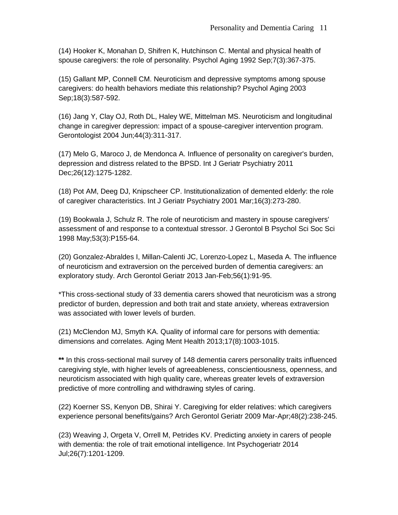(14) Hooker K, Monahan D, Shifren K, Hutchinson C. Mental and physical health of spouse caregivers: the role of personality. Psychol Aging 1992 Sep;7(3):367-375.

(15) Gallant MP, Connell CM. Neuroticism and depressive symptoms among spouse caregivers: do health behaviors mediate this relationship? Psychol Aging 2003 Sep;18(3):587-592.

(16) Jang Y, Clay OJ, Roth DL, Haley WE, Mittelman MS. Neuroticism and longitudinal change in caregiver depression: impact of a spouse-caregiver intervention program. Gerontologist 2004 Jun;44(3):311-317.

(17) Melo G, Maroco J, de Mendonca A. Influence of personality on caregiver's burden, depression and distress related to the BPSD. Int J Geriatr Psychiatry 2011 Dec;26(12):1275-1282.

(18) Pot AM, Deeg DJ, Knipscheer CP. Institutionalization of demented elderly: the role of caregiver characteristics. Int J Geriatr Psychiatry 2001 Mar;16(3):273-280.

(19) Bookwala J, Schulz R. The role of neuroticism and mastery in spouse caregivers' assessment of and response to a contextual stressor. J Gerontol B Psychol Sci Soc Sci 1998 May;53(3):P155-64.

(20) Gonzalez-Abraldes I, Millan-Calenti JC, Lorenzo-Lopez L, Maseda A. The influence of neuroticism and extraversion on the perceived burden of dementia caregivers: an exploratory study. Arch Gerontol Geriatr 2013 Jan-Feb;56(1):91-95.

\*This cross-sectional study of 33 dementia carers showed that neuroticism was a strong predictor of burden, depression and both trait and state anxiety, whereas extraversion was associated with lower levels of burden.

(21) McClendon MJ, Smyth KA. Quality of informal care for persons with dementia: dimensions and correlates. Aging Ment Health 2013;17(8):1003-1015.

**\*\*** In this cross-sectional mail survey of 148 dementia carers personality traits influenced caregiving style, with higher levels of agreeableness, conscientiousness, openness, and neuroticism associated with high quality care, whereas greater levels of extraversion predictive of more controlling and withdrawing styles of caring.

(22) Koerner SS, Kenyon DB, Shirai Y. Caregiving for elder relatives: which caregivers experience personal benefits/gains? Arch Gerontol Geriatr 2009 Mar-Apr;48(2):238-245.

(23) Weaving J, Orgeta V, Orrell M, Petrides KV. Predicting anxiety in carers of people with dementia: the role of trait emotional intelligence. Int Psychogeriatr 2014 Jul;26(7):1201-1209.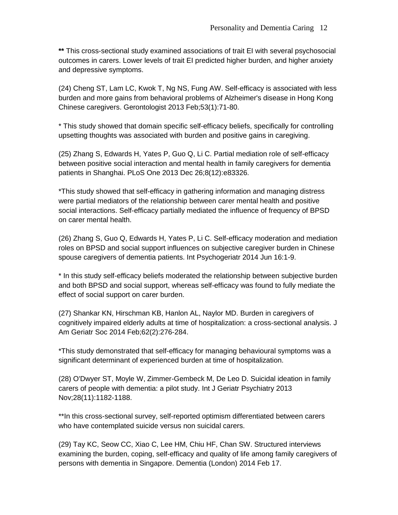**\*\*** This cross-sectional study examined associations of trait EI with several psychosocial outcomes in carers. Lower levels of trait EI predicted higher burden, and higher anxiety and depressive symptoms.

(24) Cheng ST, Lam LC, Kwok T, Ng NS, Fung AW. Self-efficacy is associated with less burden and more gains from behavioral problems of Alzheimer's disease in Hong Kong Chinese caregivers. Gerontologist 2013 Feb;53(1):71-80.

\* This study showed that domain specific self-efficacy beliefs, specifically for controlling upsetting thoughts was associated with burden and positive gains in caregiving.

(25) Zhang S, Edwards H, Yates P, Guo Q, Li C. Partial mediation role of self-efficacy between positive social interaction and mental health in family caregivers for dementia patients in Shanghai. PLoS One 2013 Dec 26;8(12):e83326.

\*This study showed that self-efficacy in gathering information and managing distress were partial mediators of the relationship between carer mental health and positive social interactions. Self-efficacy partially mediated the influence of frequency of BPSD on carer mental health.

(26) Zhang S, Guo Q, Edwards H, Yates P, Li C. Self-efficacy moderation and mediation roles on BPSD and social support influences on subjective caregiver burden in Chinese spouse caregivers of dementia patients. Int Psychogeriatr 2014 Jun 16:1-9.

\* In this study self-efficacy beliefs moderated the relationship between subjective burden and both BPSD and social support, whereas self-efficacy was found to fully mediate the effect of social support on carer burden.

(27) Shankar KN, Hirschman KB, Hanlon AL, Naylor MD. Burden in caregivers of cognitively impaired elderly adults at time of hospitalization: a cross-sectional analysis. J Am Geriatr Soc 2014 Feb;62(2):276-284.

\*This study demonstrated that self-efficacy for managing behavioural symptoms was a significant determinant of experienced burden at time of hospitalization.

(28) O'Dwyer ST, Moyle W, Zimmer-Gembeck M, De Leo D. Suicidal ideation in family carers of people with dementia: a pilot study. Int J Geriatr Psychiatry 2013 Nov;28(11):1182-1188.

\*\*In this cross-sectional survey, self-reported optimism differentiated between carers who have contemplated suicide versus non suicidal carers.

(29) Tay KC, Seow CC, Xiao C, Lee HM, Chiu HF, Chan SW. Structured interviews examining the burden, coping, self-efficacy and quality of life among family caregivers of persons with dementia in Singapore. Dementia (London) 2014 Feb 17.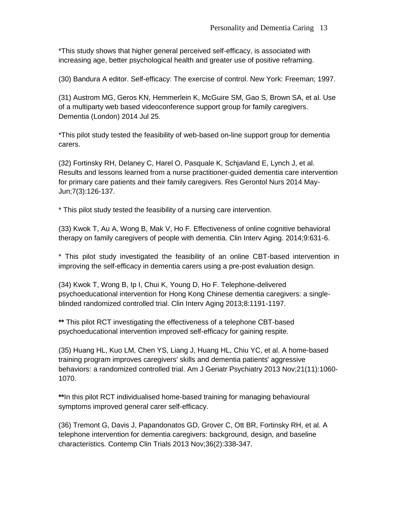\*This study shows that higher general perceived self-efficacy, is associated with increasing age, better psychological health and greater use of positive reframing.

(30) Bandura A editor. Self-efficacy: The exercise of control. New York: Freeman; 1997.

(31) Austrom MG, Geros KN, Hemmerlein K, McGuire SM, Gao S, Brown SA, et al. Use of a multiparty web based videoconference support group for family caregivers. Dementia (London) 2014 Jul 25.

\*This pilot study tested the feasibility of web-based on-line support group for dementia carers.

(32) Fortinsky RH, Delaney C, Harel O, Pasquale K, Schjavland E, Lynch J, et al. Results and lessons learned from a nurse practitioner-guided dementia care intervention for primary care patients and their family caregivers. Res Gerontol Nurs 2014 May-Jun;7(3):126-137.

\* This pilot study tested the feasibility of a nursing care intervention.

(33) Kwok T, Au A, Wong B, Mak V, Ho F. Effectiveness of online cognitive behavioral therapy on family caregivers of people with dementia. Clin Interv Aging. 2014;9:631-6.

\* This pilot study investigated the feasibility of an online CBT-based intervention in improving the self-efficacy in dementia carers using a pre-post evaluation design.

(34) Kwok T, Wong B, Ip I, Chui K, Young D, Ho F. Telephone-delivered psychoeducational intervention for Hong Kong Chinese dementia caregivers: a singleblinded randomized controlled trial. Clin Interv Aging 2013;8:1191-1197.

**\*\*** This pilot RCT investigating the effectiveness of a telephone CBT-based psychoeducational intervention improved self-efficacy for gaining respite.

(35) Huang HL, Kuo LM, Chen YS, Liang J, Huang HL, Chiu YC, et al. A home-based training program improves caregivers' skills and dementia patients' aggressive behaviors: a randomized controlled trial. Am J Geriatr Psychiatry 2013 Nov;21(11):1060- 1070.

**\*\***In this pilot RCT individualised home-based training for managing behavioural symptoms improved general carer self-efficacy.

(36) Tremont G, Davis J, Papandonatos GD, Grover C, Ott BR, Fortinsky RH, et al. A telephone intervention for dementia caregivers: background, design, and baseline characteristics. Contemp Clin Trials 2013 Nov;36(2):338-347.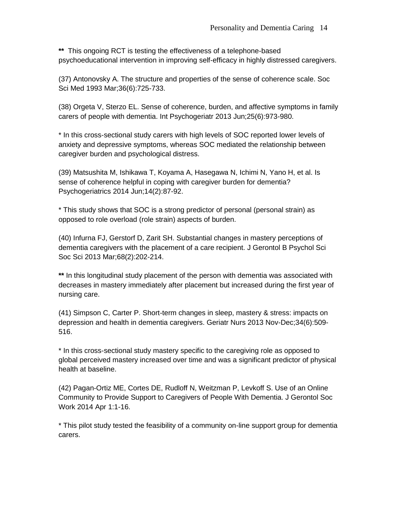**\*\*** This ongoing RCT is testing the effectiveness of a telephone-based psychoeducational intervention in improving self-efficacy in highly distressed caregivers.

(37) Antonovsky A. The structure and properties of the sense of coherence scale. Soc Sci Med 1993 Mar;36(6):725-733.

(38) Orgeta V, Sterzo EL. Sense of coherence, burden, and affective symptoms in family carers of people with dementia. Int Psychogeriatr 2013 Jun;25(6):973-980.

\* In this cross-sectional study carers with high levels of SOC reported lower levels of anxiety and depressive symptoms, whereas SOC mediated the relationship between caregiver burden and psychological distress.

(39) Matsushita M, Ishikawa T, Koyama A, Hasegawa N, Ichimi N, Yano H, et al. Is sense of coherence helpful in coping with caregiver burden for dementia? Psychogeriatrics 2014 Jun;14(2):87-92.

\* This study shows that SOC is a strong predictor of personal (personal strain) as opposed to role overload (role strain) aspects of burden.

(40) Infurna FJ, Gerstorf D, Zarit SH. Substantial changes in mastery perceptions of dementia caregivers with the placement of a care recipient. J Gerontol B Psychol Sci Soc Sci 2013 Mar;68(2):202-214.

**\*\*** In this longitudinal study placement of the person with dementia was associated with decreases in mastery immediately after placement but increased during the first year of nursing care.

(41) Simpson C, Carter P. Short-term changes in sleep, mastery & stress: impacts on depression and health in dementia caregivers. Geriatr Nurs 2013 Nov-Dec;34(6):509- 516.

\* In this cross-sectional study mastery specific to the caregiving role as opposed to global perceived mastery increased over time and was a significant predictor of physical health at baseline.

(42) Pagan-Ortiz ME, Cortes DE, Rudloff N, Weitzman P, Levkoff S. Use of an Online Community to Provide Support to Caregivers of People With Dementia. J Gerontol Soc Work 2014 Apr 1:1-16.

\* This pilot study tested the feasibility of a community on-line support group for dementia carers.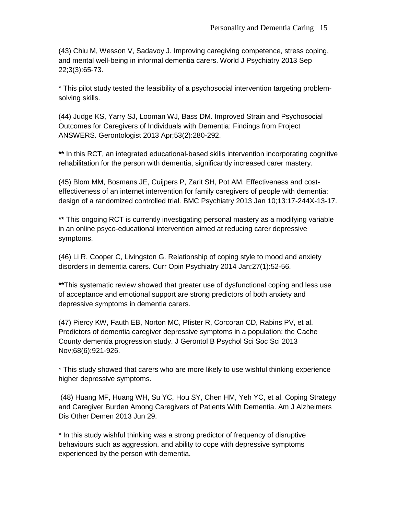(43) Chiu M, Wesson V, Sadavoy J. Improving caregiving competence, stress coping, and mental well-being in informal dementia carers. World J Psychiatry 2013 Sep 22;3(3):65-73.

\* This pilot study tested the feasibility of a psychosocial intervention targeting problemsolving skills.

(44) Judge KS, Yarry SJ, Looman WJ, Bass DM. Improved Strain and Psychosocial Outcomes for Caregivers of Individuals with Dementia: Findings from Project ANSWERS. Gerontologist 2013 Apr;53(2):280-292.

**\*\*** In this RCT, an integrated educational-based skills intervention incorporating cognitive rehabilitation for the person with dementia, significantly increased carer mastery.

(45) Blom MM, Bosmans JE, Cuijpers P, Zarit SH, Pot AM. Effectiveness and costeffectiveness of an internet intervention for family caregivers of people with dementia: design of a randomized controlled trial. BMC Psychiatry 2013 Jan 10;13:17-244X-13-17.

**\*\*** This ongoing RCT is currently investigating personal mastery as a modifying variable in an online psyco-educational intervention aimed at reducing carer depressive symptoms.

(46) Li R, Cooper C, Livingston G. Relationship of coping style to mood and anxiety disorders in dementia carers. Curr Opin Psychiatry 2014 Jan;27(1):52-56.

**\*\***This systematic review showed that greater use of dysfunctional coping and less use of acceptance and emotional support are strong predictors of both anxiety and depressive symptoms in dementia carers.

(47) Piercy KW, Fauth EB, Norton MC, Pfister R, Corcoran CD, Rabins PV, et al. Predictors of dementia caregiver depressive symptoms in a population: the Cache County dementia progression study. J Gerontol B Psychol Sci Soc Sci 2013 Nov;68(6):921-926.

\* This study showed that carers who are more likely to use wishful thinking experience higher depressive symptoms.

(48) Huang MF, Huang WH, Su YC, Hou SY, Chen HM, Yeh YC, et al. Coping Strategy and Caregiver Burden Among Caregivers of Patients With Dementia. Am J Alzheimers Dis Other Demen 2013 Jun 29.

\* In this study wishful thinking was a strong predictor of frequency of disruptive behaviours such as aggression, and ability to cope with depressive symptoms experienced by the person with dementia.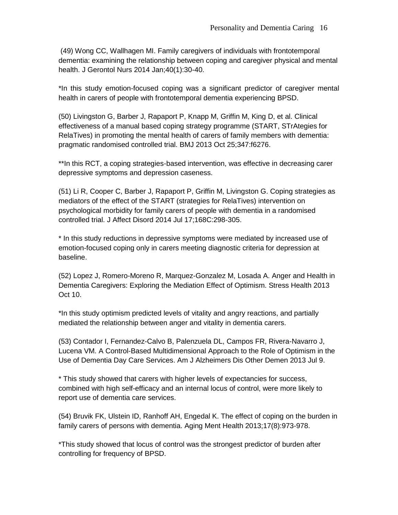(49) Wong CC, Wallhagen MI. Family caregivers of individuals with frontotemporal dementia: examining the relationship between coping and caregiver physical and mental health. J Gerontol Nurs 2014 Jan;40(1):30-40.

\*In this study emotion-focused coping was a significant predictor of caregiver mental health in carers of people with frontotemporal dementia experiencing BPSD.

(50) Livingston G, Barber J, Rapaport P, Knapp M, Griffin M, King D, et al. Clinical effectiveness of a manual based coping strategy programme (START, STrAtegies for RelaTives) in promoting the mental health of carers of family members with dementia: pragmatic randomised controlled trial. BMJ 2013 Oct 25;347:f6276.

\*\*In this RCT, a coping strategies-based intervention, was effective in decreasing carer depressive symptoms and depression caseness.

(51) Li R, Cooper C, Barber J, Rapaport P, Griffin M, Livingston G. Coping strategies as mediators of the effect of the START (strategies for RelaTives) intervention on psychological morbidity for family carers of people with dementia in a randomised controlled trial. J Affect Disord 2014 Jul 17;168C:298-305.

\* In this study reductions in depressive symptoms were mediated by increased use of emotion-focused coping only in carers meeting diagnostic criteria for depression at baseline.

(52) Lopez J, Romero-Moreno R, Marquez-Gonzalez M, Losada A. Anger and Health in Dementia Caregivers: Exploring the Mediation Effect of Optimism. Stress Health 2013 Oct 10.

\*In this study optimism predicted levels of vitality and angry reactions, and partially mediated the relationship between anger and vitality in dementia carers.

(53) Contador I, Fernandez-Calvo B, Palenzuela DL, Campos FR, Rivera-Navarro J, Lucena VM. A Control-Based Multidimensional Approach to the Role of Optimism in the Use of Dementia Day Care Services. Am J Alzheimers Dis Other Demen 2013 Jul 9.

\* This study showed that carers with higher levels of expectancies for success, combined with high self-efficacy and an internal locus of control, were more likely to report use of dementia care services.

(54) Bruvik FK, Ulstein ID, Ranhoff AH, Engedal K. The effect of coping on the burden in family carers of persons with dementia. Aging Ment Health 2013;17(8):973-978.

\*This study showed that locus of control was the strongest predictor of burden after controlling for frequency of BPSD.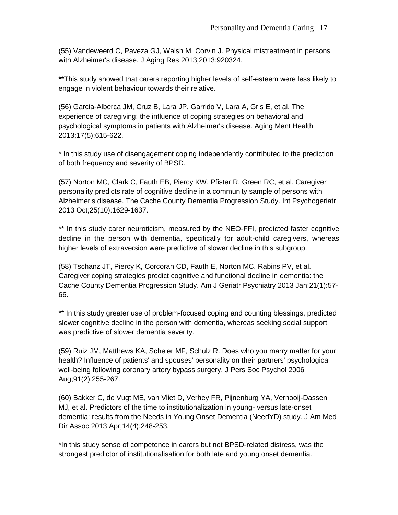(55) Vandeweerd C, Paveza GJ, Walsh M, Corvin J. Physical mistreatment in persons with Alzheimer's disease. J Aging Res 2013;2013:920324.

**\*\***This study showed that carers reporting higher levels of self-esteem were less likely to engage in violent behaviour towards their relative.

(56) Garcia-Alberca JM, Cruz B, Lara JP, Garrido V, Lara A, Gris E, et al. The experience of caregiving: the influence of coping strategies on behavioral and psychological symptoms in patients with Alzheimer's disease. Aging Ment Health 2013;17(5):615-622.

\* In this study use of disengagement coping independently contributed to the prediction of both frequency and severity of BPSD.

(57) Norton MC, Clark C, Fauth EB, Piercy KW, Pfister R, Green RC, et al. Caregiver personality predicts rate of cognitive decline in a community sample of persons with Alzheimer's disease. The Cache County Dementia Progression Study. Int Psychogeriatr 2013 Oct;25(10):1629-1637.

\*\* In this study carer neuroticism, measured by the NEO-FFI, predicted faster cognitive decline in the person with dementia, specifically for adult-child caregivers, whereas higher levels of extraversion were predictive of slower decline in this subgroup.

(58) Tschanz JT, Piercy K, Corcoran CD, Fauth E, Norton MC, Rabins PV, et al. Caregiver coping strategies predict cognitive and functional decline in dementia: the Cache County Dementia Progression Study. Am J Geriatr Psychiatry 2013 Jan;21(1):57- 66.

\*\* In this study greater use of problem-focused coping and counting blessings, predicted slower cognitive decline in the person with dementia, whereas seeking social support was predictive of slower dementia severity.

(59) Ruiz JM, Matthews KA, Scheier MF, Schulz R. Does who you marry matter for your health? Influence of patients' and spouses' personality on their partners' psychological well-being following coronary artery bypass surgery. J Pers Soc Psychol 2006 Aug;91(2):255-267.

(60) Bakker C, de Vugt ME, van Vliet D, Verhey FR, Pijnenburg YA, Vernooij-Dassen MJ, et al. Predictors of the time to institutionalization in young- versus late-onset dementia: results from the Needs in Young Onset Dementia (NeedYD) study. J Am Med Dir Assoc 2013 Apr;14(4):248-253.

\*In this study sense of competence in carers but not BPSD-related distress, was the strongest predictor of institutionalisation for both late and young onset dementia.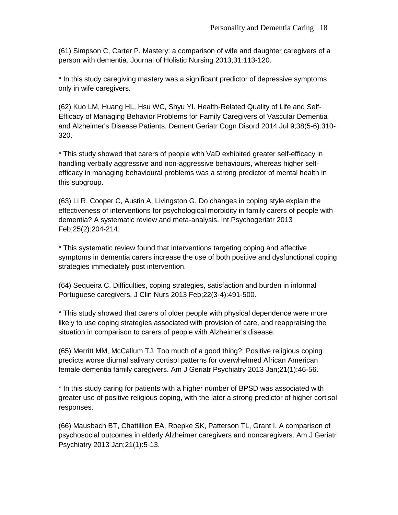(61) Simpson C, Carter P. Mastery: a comparison of wife and daughter caregivers of a person with dementia. Journal of Holistic Nursing 2013;31:113-120.

\* In this study caregiving mastery was a significant predictor of depressive symptoms only in wife caregivers.

(62) Kuo LM, Huang HL, Hsu WC, Shyu YI. Health-Related Quality of Life and Self-Efficacy of Managing Behavior Problems for Family Caregivers of Vascular Dementia and Alzheimer's Disease Patients. Dement Geriatr Cogn Disord 2014 Jul 9;38(5-6):310- 320.

\* This study showed that carers of people with VaD exhibited greater self-efficacy in handling verbally aggressive and non-aggressive behaviours, whereas higher selfefficacy in managing behavioural problems was a strong predictor of mental health in this subgroup.

(63) Li R, Cooper C, Austin A, Livingston G. Do changes in coping style explain the effectiveness of interventions for psychological morbidity in family carers of people with dementia? A systematic review and meta-analysis. Int Psychogeriatr 2013 Feb;25(2):204-214.

\* This systematic review found that interventions targeting coping and affective symptoms in dementia carers increase the use of both positive and dysfunctional coping strategies immediately post intervention.

(64) Sequeira C. Difficulties, coping strategies, satisfaction and burden in informal Portuguese caregivers. J Clin Nurs 2013 Feb;22(3-4):491-500.

\* This study showed that carers of older people with physical dependence were more likely to use coping strategies associated with provision of care, and reappraising the situation in comparison to carers of people with Alzheimer's disease.

(65) Merritt MM, McCallum TJ. Too much of a good thing?: Positive religious coping predicts worse diurnal salivary cortisol patterns for overwhelmed African American female dementia family caregivers. Am J Geriatr Psychiatry 2013 Jan;21(1):46-56.

\* In this study caring for patients with a higher number of BPSD was associated with greater use of positive religious coping, with the later a strong predictor of higher cortisol responses.

(66) Mausbach BT, Chattillion EA, Roepke SK, Patterson TL, Grant I. A comparison of psychosocial outcomes in elderly Alzheimer caregivers and noncaregivers. Am J Geriatr Psychiatry 2013 Jan;21(1):5-13.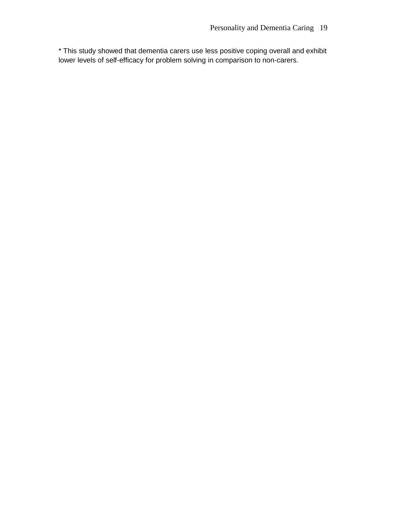\* This study showed that dementia carers use less positive coping overall and exhibit lower levels of self-efficacy for problem solving in comparison to non-carers.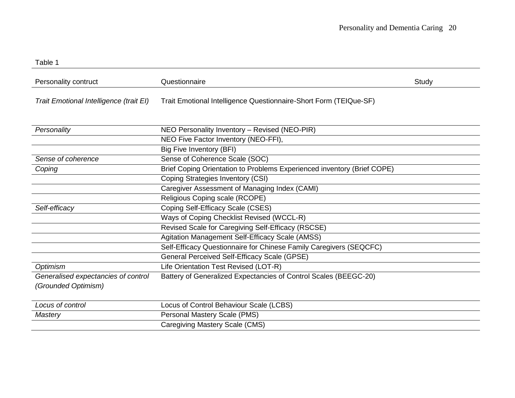| Personality contruct                                       | Questionnaire                                                           | Study |
|------------------------------------------------------------|-------------------------------------------------------------------------|-------|
| Trait Emotional Intelligence (trait EI)                    | Trait Emotional Intelligence Questionnaire-Short Form (TEIQue-SF)       |       |
| Personality                                                | NEO Personality Inventory - Revised (NEO-PIR)                           |       |
|                                                            | NEO Five Factor Inventory (NEO-FFI),                                    |       |
|                                                            | Big Five Inventory (BFI)                                                |       |
| Sense of coherence                                         | Sense of Coherence Scale (SOC)                                          |       |
| Coping                                                     | Brief Coping Orientation to Problems Experienced inventory (Brief COPE) |       |
|                                                            | Coping Strategies Inventory (CSI)                                       |       |
|                                                            | Caregiver Assessment of Managing Index (CAMI)                           |       |
|                                                            | Religious Coping scale (RCOPE)                                          |       |
| Self-efficacy                                              | Coping Self-Efficacy Scale (CSES)                                       |       |
|                                                            | Ways of Coping Checklist Revised (WCCL-R)                               |       |
|                                                            | Revised Scale for Caregiving Self-Efficacy (RSCSE)                      |       |
|                                                            | Agitation Management Self-Efficacy Scale (AMSS)                         |       |
|                                                            | Self-Efficacy Questionnaire for Chinese Family Caregivers (SEQCFC)      |       |
|                                                            | General Perceived Self-Efficacy Scale (GPSE)                            |       |
| Optimism                                                   | Life Orientation Test Revised (LOT-R)                                   |       |
| Generalised expectancies of control<br>(Grounded Optimism) | Battery of Generalized Expectancies of Control Scales (BEEGC-20)        |       |
| Locus of control                                           | Locus of Control Behaviour Scale (LCBS)                                 |       |
| Mastery                                                    | Personal Mastery Scale (PMS)                                            |       |
|                                                            | Caregiving Mastery Scale (CMS)                                          |       |

Table 1